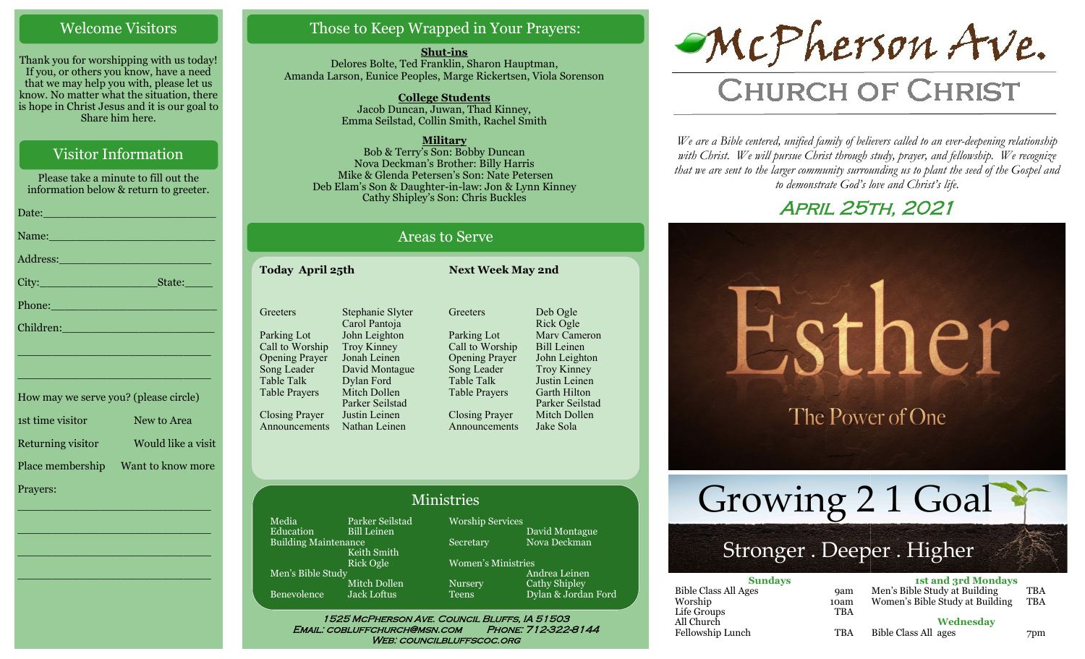### Welcome Visitors

Thank you for worshipping with us today! If you, or others you know, have a need that we may help you with, please let us know. No matter what the situation, there is hope in Christ Jesus and it is our goal to Share him here.

## Visitor Information

Please take a minute to fill out the information below & return to greeter. Date:\_\_\_\_\_\_\_\_\_\_\_\_\_\_\_\_\_\_\_\_\_\_\_\_\_ Name: Address:\_\_\_\_\_\_\_\_\_\_\_\_\_\_\_\_\_\_\_\_\_\_ City: State: Phone:\_\_\_\_\_\_\_\_\_\_\_\_\_\_\_\_\_\_\_\_\_\_\_\_

How may we serve you? (please circle) 1st time visitor New to Area Returning visitor Would like a visit Place membership Want to know more Prayers:

\_\_\_\_\_\_\_\_\_\_\_\_\_\_\_\_\_\_\_\_\_\_\_\_\_\_\_\_

 $\overline{\phantom{a}}$  , and the set of the set of the set of the set of the set of the set of the set of the set of the set of the set of the set of the set of the set of the set of the set of the set of the set of the set of the s

 $\overline{\phantom{a}}$  , and the set of the set of the set of the set of the set of the set of the set of the set of the set of the set of the set of the set of the set of the set of the set of the set of the set of the set of the s

\_\_\_\_\_\_\_\_\_\_\_\_\_\_\_\_\_\_\_\_\_\_\_\_\_\_\_\_

\_\_\_\_\_\_\_\_\_\_\_\_\_\_\_\_\_\_\_\_\_\_\_\_\_\_\_\_

\_\_\_\_\_\_\_\_\_\_\_\_\_\_\_\_\_\_\_\_\_\_\_\_\_\_\_\_

Children:

## Those to Keep Wrapped in Your Prayers:

**Shut-ins** Delores Bolte, Ted Franklin, Sharon Hauptman, Amanda Larson, Eunice Peoples, Marge Rickertsen, Viola Sorenson

> **College Students**  Jacob Duncan, Juwan, Thad Kinney, Emma Seilstad, Collin Smith, Rachel Smith

> > **Military**

Bob & Terry's Son: Bobby Duncan Nova Deckman's Brother: Billy Harris Mike & Glenda Petersen's Son: Nate Petersen Deb Elam's Son & Daughter-in-law: Jon & Lynn Kinney Cathy Shipley's Son: Chris Buckles

# Areas to Serve

**Today April 25th Next Week May 2nd Greeters** Parking Lot Call to Worship Opening Prayer Song Leader Table Talk Table Prayers Closing Prayer Announcements Stephanie Slyter Carol Pantoja John Leighton Troy Kinney Jonah Leinen David Montague Dylan Ford Mitch Dollen Parker Seilstad Justin Leinen Nathan Leinen

**Greeters** Parking Lot Call to Worship Opening Prayer Song Leader Table Talk Table Prayers Closing Prayer Announcements Deb Ogle Rick Ogle Marv Cameron Bill Leinen John Leighton Troy Kinney Justin Leinen Garth Hilton Parker Seilstad Mitch Dollen Jake Sola

### Ministries

Media Parker Seilstad<br>Education Bill Leinen Bill Leinen Building Maintenance Keith Smith Rick Ogle Men's Bible Study Mitch Dollen Benevolence Jack Loftus

Worship Services David Montague Secretary Nova Deckman Women's Ministries Andrea Leinen Nursery Cathy Shipley

Teens Dylan & Jordan Ford

1525 McPherson Ave. Council Bluffs, IA 51503 Email: cobluffchurch@msn.com Phone: 712-322-8144 WEB: COUNCILBLUFFSCOC.ORG



# **CHURCH OF CHRIST**

*We are a Bible centered, unified family of believers called to an ever-deepening relationship*  with Christ. We will pursue Christ through study, prayer, and fellowship. We recognize *that we are sent to the larger community surrounding us to plant the seed of the Gospel and to demonstrate God's love and Christ's life.*

# April 25th, 2021



Growing 2 1 Goal

# Stronger . Deeper . Higher

| <b>Sundays</b>              |            | <b>1st and 3rd Mondays</b>      |     |
|-----------------------------|------------|---------------------------------|-----|
| <b>Bible Class All Ages</b> | <b>9am</b> | Men's Bible Study at Building   | TBA |
| Worship                     | 10am       | Women's Bible Study at Building | TBA |
| Life Groups                 | <b>TBA</b> |                                 |     |
| All Church                  |            | Wednesday                       |     |
| Fellowship Lunch            | TBA        | Bible Class All ages            | 7pm |